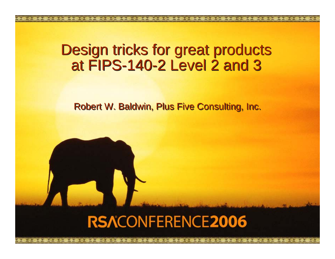## Design tricks for great products Design tricks for great products at FIPS-140-2 Level 2 and 3 at FIPS-140-2 Level 2 and 3

Robert W. Baldwin, Plus Five Consulting, Inc.

# **RSACONFERENCE2006**

**⋗◆◎◇◎◇◎◆◎◆◎◆◎◆◎◇◎◆◎◆◎◆◎◆◎◇◎◆◎◆◎◆◎◆◎◇◎◇◎◇◎◆◎◆◎◆◎◆◎◇◎◆◎◆◎◆**◎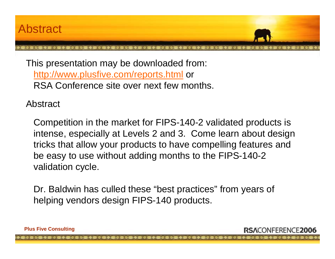This presentation may be downloaded from: http://www.plusfive.com/reports.html or RSA Conference site over next few months.

Abstract

Competition in the market for FIPS-140-2 validated products is intense, especially at Levels 2 and 3. Come learn about design tricks that allow your products to have compelling features and be easy to use without adding months to the FIPS-140-2 validation cycle.

Dr. Baldwin has culled these "best practices" from years of helping vendors design FIPS-140 products.

**Plus Five Consulting**

NEERENCE2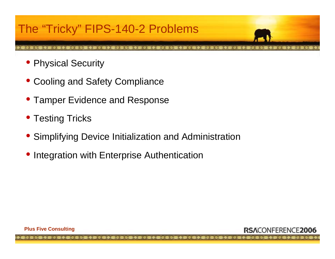### The "Tricky" FIPS-140-2 Problems

- Physical Security
- Cooling and Safety Compliance
- Tamper Evidence and Response
- Testing Tricks
- Simplifying Device Initialization and Administration
- Integration with Enterprise Authentication

**Plus Five Consulting**

RSACONFFRENCE20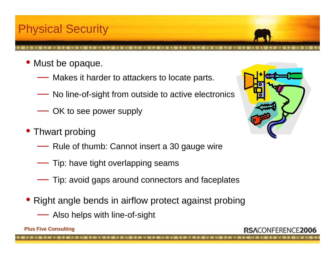### Physical Security

- Must be opaque.
	- Makes it harder to attackers to locate parts.
	- No line-of-sight from outside to active electronics
	- $\mathcal{L}_{\mathcal{A}}$ OK to see power supply
- Thwart probing
	- Rule of thumb: Cannot insert a 30 gauge wire
	- Tip: have tight overlapping seams
	- Tip: avoid gaps around connectors and faceplates
- Right angle bends in airflow protect against probing

— Also helps with line-of-sight

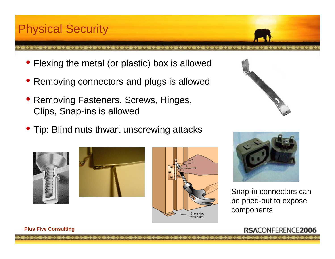### Physical Security

- Flexing the metal (or plastic) box is allowed
- Removing connectors and plugs is allowed
- Removing Fasteners, Screws, Hinges, Clips, Snap-ins is allowed
- Tip: Blind nuts thwart unscrewing attacks











Snap-in connectors can be pried-out to expose components

RSACONFFRENCE20

#### **Plus Five Consulting**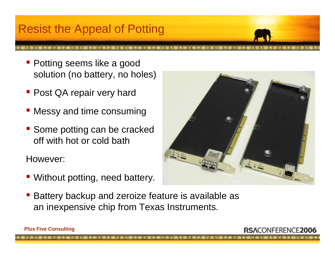### Resist the Appeal of Potting

- Potting seems like a good solution (no battery, no holes)
- Post QA repair very hard
- Messy and time consuming
- Some potting can be cracked off with hot or cold bath

However:

• Without potting, need battery.



• Battery backup and zeroize feature is available as an inexpensive chip from Texas Instruments.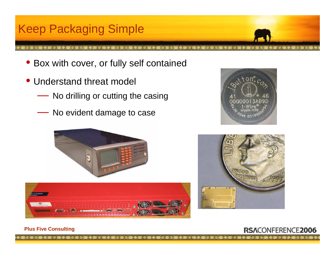## Keep Packaging Simple

- Box with cover, or fully self contained
- Understand threat model
	- No drilling or cutting the casing
	- $\mathcal{L}=\mathcal{L}^{\text{max}}$  , where  $\mathcal{L}^{\text{max}}$ No evident damage to case









#### **Plus Five Consulting**

### RSACONFERENCE2006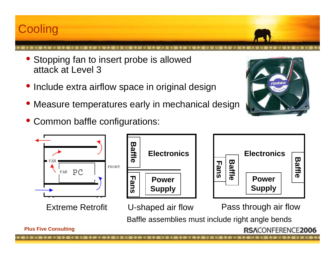### **Cooling**

- • Stopping fan to insert probe is allowed attack at Level 3
- Include extra airflow space in original design
- Measure temperatures early in mechanical design
- $\bullet$ Common baffle configurations:



Extreme Retrofit





U-shaped air flow Pass through air flow

Baffle assemblies must include right angle bends

**Plus Five Consulting**

NFFRENCF2006

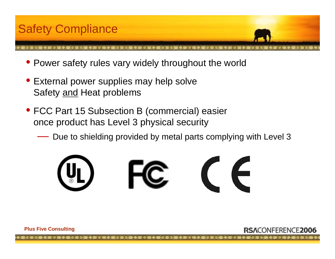

- Power safety rules vary widely throughout the world
- External power supplies may help solve Safety and Heat problems
- FCC Part 15 Subsection B (commercial) easier once product has Level 3 physical security
	- $\mathcal{L}=\mathcal{L}^{\text{max}}$  , where  $\mathcal{L}^{\text{max}}$ Due to shielding provided by metal parts complying with Level 3



**Plus Five Consulting**

NEERENCEJ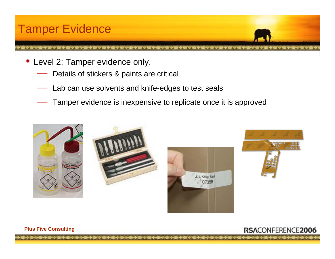### Tamper Evidence

- Level 2: Tamper evidence only.
	- Details of stickers & paints are critical
	- Lab can use solvents and knife-edges to test seals
	- Tamper evidence is inexpensive to replicate once it is approved



#### **Plus Five Consulting**

RSACONFERENCE20

}<del>\$@\$@\$@\$@\$@\$@\$@\$@\$@\$@\$</del>@\$<del>@\$@\$@\$@\$</del>@\$@**\$@\$@\$@\$@\$@\$**@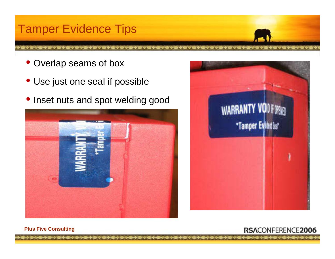### Tamper Evidence Tips

- Overlap seams of box
- Use just one seal if possible
- Inset nuts and spot welding good



<del>≠®◇®◇®◆®◆®◆®◇®◇®◆®◆®◇®◆®◇®◆®◆®◇®◆®◇®◇®◆®◆®◇®◆®◇®◆®◆®◆®◆®◆®◆®◆®</del>



#### **Plus Five Consulting**

RSACONFERENCE2006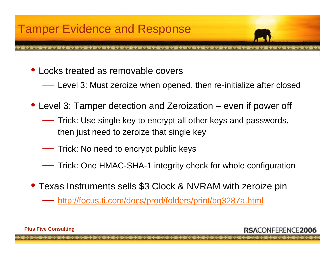- Locks treated as removable covers
	- Level 3: Must zeroize when opened, then re-initialize after closed
- Level 3: Tamper detection and Zeroization even if power off
	- Trick: Use single key to encrypt all other keys and passwords, then just need to zeroize that single key
	- —Trick: No need to encrypt public keys
	- $\mathcal{L}=\mathcal{L}^{\text{max}}$  , where  $\mathcal{L}^{\text{max}}$ Trick: One HMAC-SHA-1 integrity check for whole configuration
- Texas Instruments sells \$3 Clock & NVRAM with zeroize pin
	- http://focus.ti.com/docs/prod/folders/print/bq3287a.html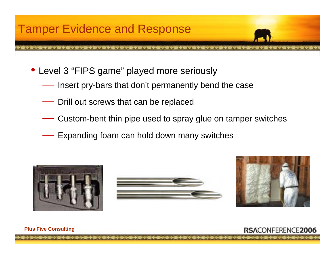- Level 3 "FIPS game" played more seriously
	- Insert pry-bars that don't permanently bend the case
	- $\mathcal{L}=\mathcal{L}^{\text{max}}$  , where  $\mathcal{L}^{\text{max}}$ Drill out screws that can be replaced
	- $\mathcal{L}_{\mathcal{A}}$ Custom-bent thin pipe used to spray glue on tamper switches
	- $\mathcal{L}=\mathcal{L}^{\text{max}}$  , where  $\mathcal{L}^{\text{max}}$ Expanding foam can hold down many switches





**₽◇◎◇◎◆◎◇◎◆◎◇◎◇◎◆◎◆◎◇◎◆◎◇◎◇◎◆◎◆◎◇◎◆◎◇◎◇◎◇◎◆◎◆◎◇◎◆◎◇◎◇◎◆◎◇◎◆◎◇◎◇◎◆◎◇**◎



**Plus Five Consulting**

### **NEERENCE2**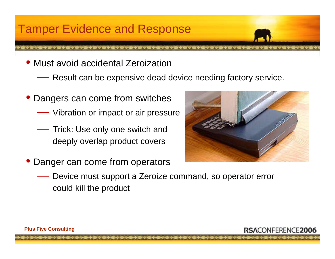### Tamper Evidence and Response

- Must avoid accidental Zeroization
	- Result can be expensive dead device needing factory service.
- Dangers can come from switches
	- Vibration or impact or air pressure
	- Trick: Use only one switch and deeply overlap product covers
- $\bullet$ Danger can come from operators



 $\mathcal{L}=\mathcal{L}^{\text{max}}$  , where  $\mathcal{L}^{\text{max}}$  Device must support a Zeroize command, so operator error could kill the product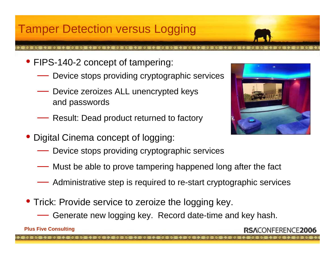### Tamper Detection versus Logging

- FIPS-140-2 concept of tampering:
	- $\mathcal{L}=\mathcal{L}^{\text{max}}$  , where  $\mathcal{L}^{\text{max}}$ Device stops providing cryptographic services
	- Device zeroizes ALL unencrypted keys and passwords
	- Result: Dead product returned to factory
- $\bullet$  Digital Cinema concept of logging:
	- Device stops providing cryptographic services
	- Must be able to prove tampering happened long after the fact
	- Administrative step is required to re-start cryptographic services
- Trick: Provide service to zeroize the logging key.
	- $\mathcal{L}=\mathcal{L}^{\text{max}}$  , where  $\mathcal{L}^{\text{max}}$ Generate new logging key. Record date-time and key hash.

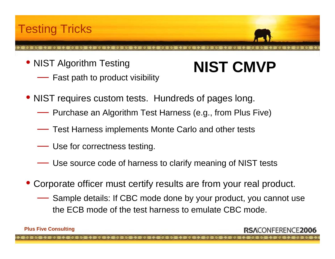

- NIST Algorithm Testing
	- Fast path to product visibility

# **NIST CMVP**

- NIST requires custom tests. Hundreds of pages long.
	- Purchase an Algorithm Test Harness (e.g., from Plus Five)
	- Test Harness implements Monte Carlo and other tests
	- Use for correctness testing.
	- Use source code of harness to clarify meaning of NIST tests
- •Corporate officer must certify results are from your real product.

— Sample details: If CBC mode done by your product, you cannot use the ECB mode of the test harness to emulate CBC mode.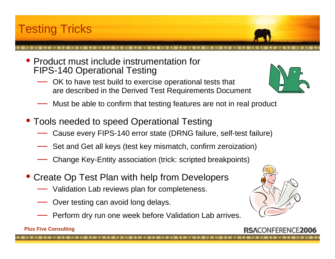### **Testing Tricks**

- Product must include instrumentation for FIPS-140 Operational Testing
	- $\mathcal{L}_{\mathcal{A}}$  OK to have test build to exercise operational tests that are described in the Derived Test Requirements Document
	- $\mathcal{L}_{\mathcal{A}}$ Must be able to confirm that testing features are not in real product
- Tools needed to speed Operational Testing
	- Cause every FIPS-140 error state (DRNG failure, self-test failure)
	- Set and Get all keys (test key mismatch, confirm zeroization)
	- Change Key-Entity association (trick: scripted breakpoints)
- Create Op Test Plan with help from Developers
	- —Validation Lab reviews plan for completeness.
	- Over testing can avoid long delays.
	- Perform dry run one week before Validation Lab arrives.





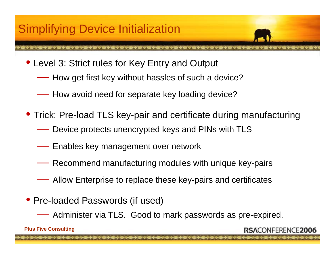- Level 3: Strict rules for Key Entry and Output
	- How get first key without hassles of such a device?
	- How avoid need for separate key loading device?
- Trick: Pre-load TLS key-pair and certificate during manufacturing
	- Device protects unencrypted keys and PINs with TLS
	- Enables key management over network
	- $\mathcal{L}=\mathcal{L}^{\text{max}}$  , where  $\mathcal{L}^{\text{max}}$ Recommend manufacturing modules with unique key-pairs
	- Allow Enterprise to replace these key-pairs and certificates
- Pre-loaded Passwords (if used)
	- Administer via TLS. Good to mark passwords as pre-expired.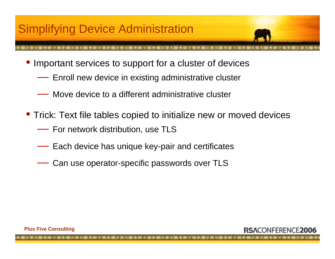- $\bullet$  Important services to support for a cluster of devices
	- Enroll new device in existing administrative cluster
	- $\mathcal{L}=\mathcal{L}^{\text{max}}$  , where  $\mathcal{L}^{\text{max}}$ Move device to a different administrative cluster
- Trick: Text file tables copied to initialize new or moved devices
	- For network distribution, use TLS
	- $\mathcal{L}=\mathcal{L}^{\text{max}}$  , where  $\mathcal{L}^{\text{max}}$ Each device has unique key-pair and certificates
	- $\mathcal{L}=\mathcal{L}^{\text{max}}$  , where  $\mathcal{L}^{\text{max}}$ Can use operator-specific passwords over TLS

**◇◎◆◎◇◎◇◎◆◎◇◎◇◎◆◎◇◎◇◎◆◎◆◎◇◎◆◎◇◎◇◎◇◎◆◎◆◎◇◎◆◎◇◎◇◎◇◎◆◎◇◎**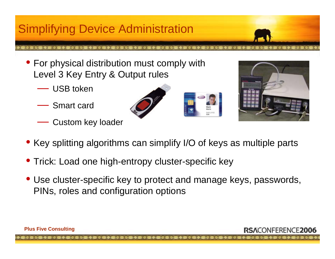### Simplifying Device Administration

- For physical distribution must comply with Level 3 Key Entry & Output rules
	- USB token
	- Smart card
	- $\mathcal{L}=\mathcal{L}^{\text{max}}$  , where  $\mathcal{L}^{\text{max}}$ Custom key loader





- Key splitting algorithms can simplify I/O of keys as multiple parts
- Trick: Load one high-entropy cluster-specific key

• Use cluster-specific key to protect and manage keys, passwords, PINs, roles and configuration options

**Plus Five Consulting**

NEERENCE2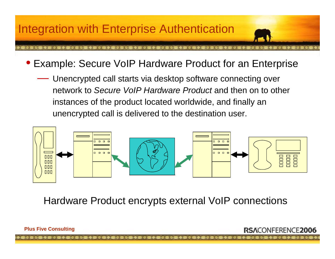

• Example: Secure VoIP Hardware Product for an Enterprise

 Unencrypted call starts via desktop software connecting over network to *Secure VoIP Hardware Product* and then on to other instances of the product located worldwide, and finally an unencrypted call is delivered to the destination user.



Hardware Product encrypts external VoIP connections

**Plus Five Consulting**

**EERENCE2**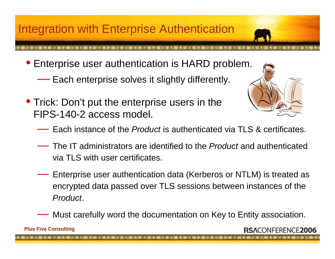### Integration with Enterprise Authentication

• Enterprise user authentication is HARD problem.

— Each enterprise solves it slightly differently.

- Trick: Don't put the enterprise users in the FIPS-140-2 access model.
	- Each instance of the *Product* is authenticated via TLS & certificates.
	- $\mathcal{L}=\mathcal{L}^{\text{max}}$  , where  $\mathcal{L}^{\text{max}}$  The IT administrators are identified to the *Product* and authenticated via TLS with user certificates.
	- Enterprise user authentication data (Kerberos or NTLM) is treated as encrypted data passed over TLS sessions between instances of the *Product*.
	- Must carefully word the documentation on Key to Entity association.

**Plus Five Consulting**

JEERENCE**20**